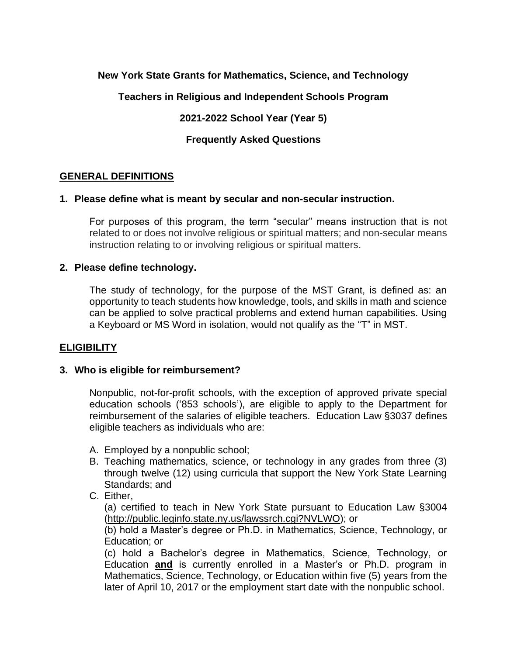# **New York State Grants for Mathematics, Science, and Technology**

**Teachers in Religious and Independent Schools Program**

**2021-2022 School Year (Year 5)** 

**Frequently Asked Questions**

# **GENERAL DEFINITIONS**

### **1. Please define what is meant by secular and non-secular instruction.**

For purposes of this program, the term "secular" means instruction that is not related to or does not involve religious or spiritual matters; and non-secular means instruction relating to or involving religious or spiritual matters.

### **2. Please define technology.**

The study of technology, for the purpose of the MST Grant, is defined as: an opportunity to teach students how knowledge, tools, and skills in math and science can be applied to solve practical problems and extend human capabilities. Using a Keyboard or MS Word in isolation, would not qualify as the "T" in MST.

# **ELIGIBILITY**

# **3. Who is eligible for reimbursement?**

Nonpublic, not-for-profit schools, with the exception of approved private special education schools ('853 schools'), are eligible to apply to the Department for reimbursement of the salaries of eligible teachers. Education Law §3037 defines eligible teachers as individuals who are:

- A. Employed by a nonpublic school;
- B. Teaching mathematics, science, or technology in any grades from three (3) through twelve (12) using curricula that support the New York State Learning Standards; and
- C. Either,

(a) certified to teach in New York State pursuant to Education Law §3004 [\(http://public.leginfo.state.ny.us/lawssrch.cgi?NVLWO\)](http://public.leginfo.state.ny.us/lawssrch.cgi?NVLWO); or

(b) hold a Master's degree or Ph.D. in Mathematics, Science, Technology, or Education; or

(c) hold a Bachelor's degree in Mathematics, Science, Technology, or Education **and** is currently enrolled in a Master's or Ph.D. program in Mathematics, Science, Technology, or Education within five (5) years from the later of April 10, 2017 or the employment start date with the nonpublic school.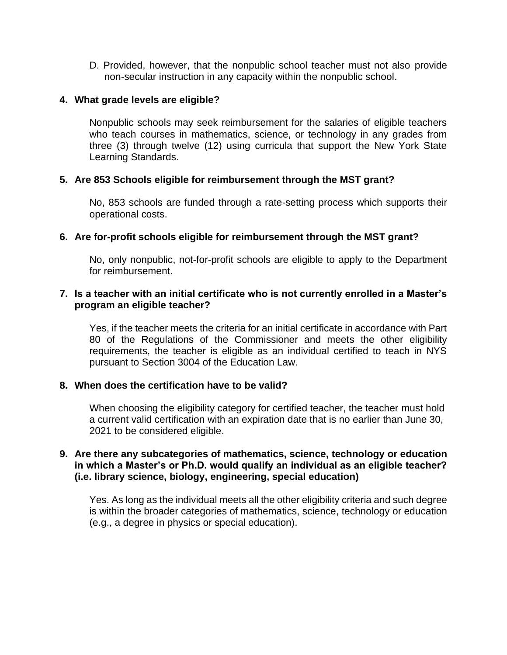D. Provided, however, that the nonpublic school teacher must not also provide non-secular instruction in any capacity within the nonpublic school.

### **4. What grade levels are eligible?**

Nonpublic schools may seek reimbursement for the salaries of eligible teachers who teach courses in mathematics, science, or technology in any grades from three (3) through twelve (12) using curricula that support the New York State Learning Standards.

# **5. Are 853 Schools eligible for reimbursement through the MST grant?**

No, 853 schools are funded through a rate-setting process which supports their operational costs.

### **6. Are for-profit schools eligible for reimbursement through the MST grant?**

No, only nonpublic, not-for-profit schools are eligible to apply to the Department for reimbursement.

# **7. Is a teacher with an initial certificate who is not currently enrolled in a Master's program an eligible teacher?**

Yes, if the teacher meets the criteria for an initial certificate in accordance with Part 80 of the Regulations of the Commissioner and meets the other eligibility requirements, the teacher is eligible as an individual certified to teach in NYS pursuant to Section 3004 of the Education Law.

#### **8. When does the certification have to be valid?**

When choosing the eligibility category for certified teacher, the teacher must hold a current valid certification with an expiration date that is no earlier than June 30, 2021 to be considered eligible.

### **9. Are there any subcategories of mathematics, science, technology or education in which a Master's or Ph.D. would qualify an individual as an eligible teacher? (i.e. library science, biology, engineering, special education)**

Yes. As long as the individual meets all the other eligibility criteria and such degree is within the broader categories of mathematics, science, technology or education (e.g., a degree in physics or special education).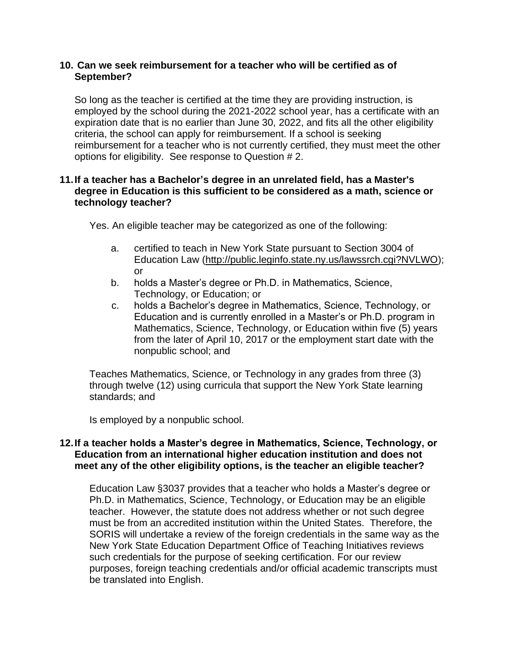### **10. Can we seek reimbursement for a teacher who will be certified as of September?**

So long as the teacher is certified at the time they are providing instruction, is employed by the school during the 2021-2022 school year, has a certificate with an expiration date that is no earlier than June 30, 2022, and fits all the other eligibility criteria, the school can apply for reimbursement. If a school is seeking reimbursement for a teacher who is not currently certified, they must meet the other options for eligibility. See response to Question # 2.

# **11.If a teacher has a Bachelor's degree in an unrelated field, has a Master's degree in Education is this sufficient to be considered as a math, science or technology teacher?**

Yes. An eligible teacher may be categorized as one of the following:

- a. certified to teach in New York State pursuant to Section 3004 of Education Law [\(http://public.leginfo.state.ny.us/lawssrch.cgi?NVLWO\)](http://public.leginfo.state.ny.us/lawssrch.cgi?NVLWO); or
- b. holds a Master's degree or Ph.D. in Mathematics, Science, Technology, or Education; or
- c. holds a Bachelor's degree in Mathematics, Science, Technology, or Education and is currently enrolled in a Master's or Ph.D. program in Mathematics, Science, Technology, or Education within five (5) years from the later of April 10, 2017 or the employment start date with the nonpublic school; and

Teaches Mathematics, Science, or Technology in any grades from three (3) through twelve (12) using curricula that support the New York State learning standards; and

Is employed by a nonpublic school.

### **12.If a teacher holds a Master's degree in Mathematics, Science, Technology, or Education from an international higher education institution and does not meet any of the other eligibility options, is the teacher an eligible teacher?**

Education Law §3037 provides that a teacher who holds a Master's degree or Ph.D. in Mathematics, Science, Technology, or Education may be an eligible teacher. However, the statute does not address whether or not such degree must be from an accredited institution within the United States. Therefore, the SORIS will undertake a review of the foreign credentials in the same way as the New York State Education Department Office of Teaching Initiatives reviews such credentials for the purpose of seeking certification. For our review purposes, foreign teaching credentials and/or official academic transcripts must be translated into English.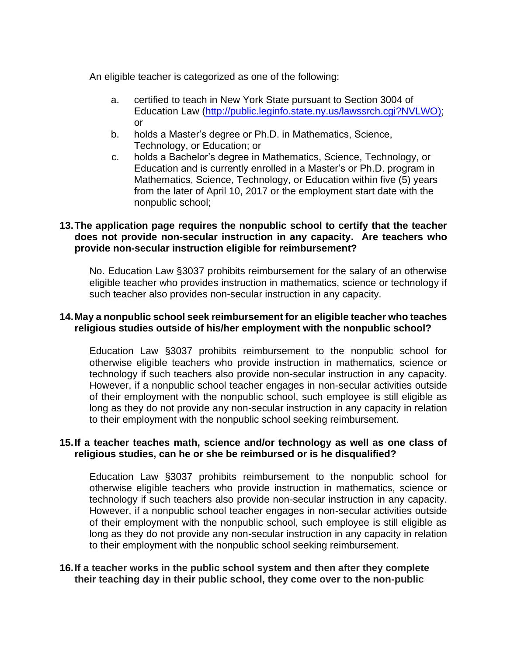An eligible teacher is categorized as one of the following:

- a. certified to teach in New York State pursuant to Section 3004 of Education Law [\(http://public.leginfo.state.ny.us/lawssrch.cgi?NVLWO\)](http://public.leginfo.state.ny.us/lawssrch.cgi?NVLWO); or
- b. holds a Master's degree or Ph.D. in Mathematics, Science, Technology, or Education; or
- c. holds a Bachelor's degree in Mathematics, Science, Technology, or Education and is currently enrolled in a Master's or Ph.D. program in Mathematics, Science, Technology, or Education within five (5) years from the later of April 10, 2017 or the employment start date with the nonpublic school;

# **13.The application page requires the nonpublic school to certify that the teacher does not provide non-secular instruction in any capacity. Are teachers who provide non-secular instruction eligible for reimbursement?**

No. Education Law §3037 prohibits reimbursement for the salary of an otherwise eligible teacher who provides instruction in mathematics, science or technology if such teacher also provides non-secular instruction in any capacity.

# **14.May a nonpublic school seek reimbursement for an eligible teacher who teaches religious studies outside of his/her employment with the nonpublic school?**

Education Law §3037 prohibits reimbursement to the nonpublic school for otherwise eligible teachers who provide instruction in mathematics, science or technology if such teachers also provide non-secular instruction in any capacity. However, if a nonpublic school teacher engages in non-secular activities outside of their employment with the nonpublic school, such employee is still eligible as long as they do not provide any non-secular instruction in any capacity in relation to their employment with the nonpublic school seeking reimbursement.

# **15.If a teacher teaches math, science and/or technology as well as one class of religious studies, can he or she be reimbursed or is he disqualified?**

Education Law §3037 prohibits reimbursement to the nonpublic school for otherwise eligible teachers who provide instruction in mathematics, science or technology if such teachers also provide non-secular instruction in any capacity. However, if a nonpublic school teacher engages in non-secular activities outside of their employment with the nonpublic school, such employee is still eligible as long as they do not provide any non-secular instruction in any capacity in relation to their employment with the nonpublic school seeking reimbursement.

# **16.If a teacher works in the public school system and then after they complete their teaching day in their public school, they come over to the non-public**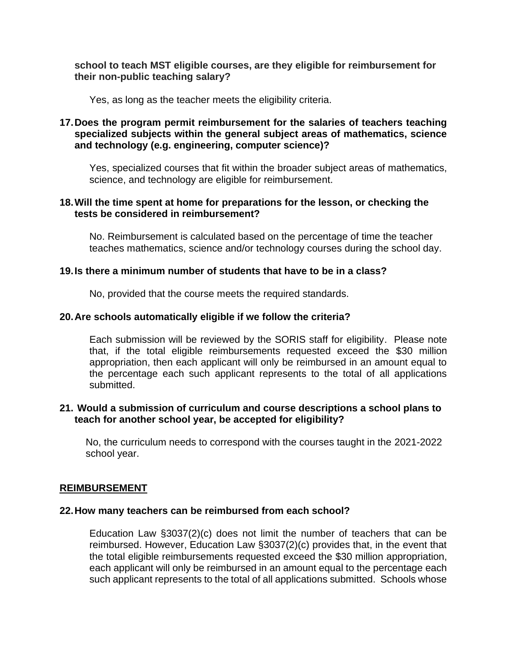## **school to teach MST eligible courses, are they eligible for reimbursement for their non-public teaching salary?**

Yes, as long as the teacher meets the eligibility criteria.

# **17.Does the program permit reimbursement for the salaries of teachers teaching specialized subjects within the general subject areas of mathematics, science and technology (e.g. engineering, computer science)?**

Yes, specialized courses that fit within the broader subject areas of mathematics, science, and technology are eligible for reimbursement.

## **18.Will the time spent at home for preparations for the lesson, or checking the tests be considered in reimbursement?**

No. Reimbursement is calculated based on the percentage of time the teacher teaches mathematics, science and/or technology courses during the school day.

### **19.Is there a minimum number of students that have to be in a class?**

No, provided that the course meets the required standards.

### **20.Are schools automatically eligible if we follow the criteria?**

Each submission will be reviewed by the SORIS staff for eligibility. Please note that, if the total eligible reimbursements requested exceed the \$30 million appropriation, then each applicant will only be reimbursed in an amount equal to the percentage each such applicant represents to the total of all applications submitted.

### **21. Would a submission of curriculum and course descriptions a school plans to teach for another school year, be accepted for eligibility?**

No, the curriculum needs to correspond with the courses taught in the 2021-2022 school year.

### **REIMBURSEMENT**

#### **22.How many teachers can be reimbursed from each school?**

Education Law §3037(2)(c) does not limit the number of teachers that can be reimbursed. However, Education Law §3037(2)(c) provides that, in the event that the total eligible reimbursements requested exceed the \$30 million appropriation, each applicant will only be reimbursed in an amount equal to the percentage each such applicant represents to the total of all applications submitted. Schools whose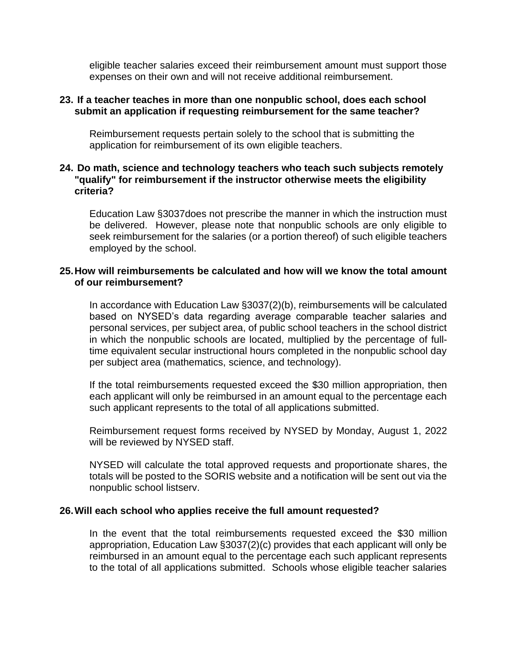eligible teacher salaries exceed their reimbursement amount must support those expenses on their own and will not receive additional reimbursement.

#### **23. If a teacher teaches in more than one nonpublic school, does each school submit an application if requesting reimbursement for the same teacher?**

Reimbursement requests pertain solely to the school that is submitting the application for reimbursement of its own eligible teachers.

### **24. Do math, science and technology teachers who teach such subjects remotely "qualify" for reimbursement if the instructor otherwise meets the eligibility criteria?**

Education Law §3037does not prescribe the manner in which the instruction must be delivered. However, please note that nonpublic schools are only eligible to seek reimbursement for the salaries (or a portion thereof) of such eligible teachers employed by the school.

# **25.How will reimbursements be calculated and how will we know the total amount of our reimbursement?**

In accordance with Education Law §3037(2)(b), reimbursements will be calculated based on NYSED's data regarding average comparable teacher salaries and personal services, per subject area, of public school teachers in the school district in which the nonpublic schools are located, multiplied by the percentage of fulltime equivalent secular instructional hours completed in the nonpublic school day per subject area (mathematics, science, and technology).

If the total reimbursements requested exceed the \$30 million appropriation, then each applicant will only be reimbursed in an amount equal to the percentage each such applicant represents to the total of all applications submitted.

Reimbursement request forms received by NYSED by Monday, August 1, 2022 will be reviewed by NYSED staff.

NYSED will calculate the total approved requests and proportionate shares, the totals will be posted to the SORIS website and a notification will be sent out via the nonpublic school listserv.

#### **26.Will each school who applies receive the full amount requested?**

In the event that the total reimbursements requested exceed the \$30 million appropriation, Education Law §3037(2)(c) provides that each applicant will only be reimbursed in an amount equal to the percentage each such applicant represents to the total of all applications submitted. Schools whose eligible teacher salaries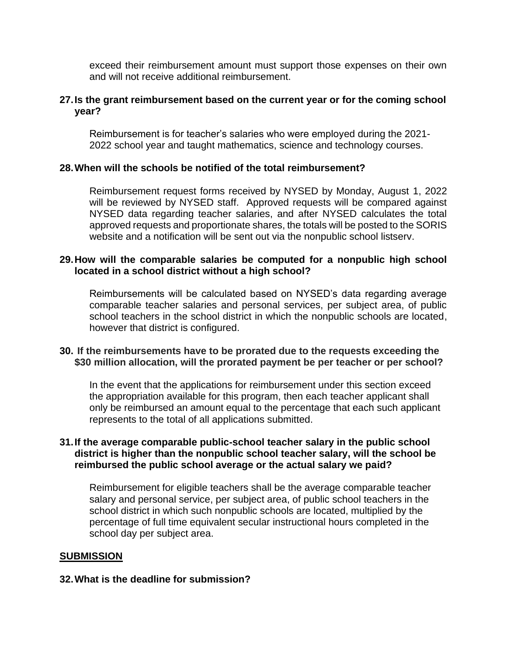exceed their reimbursement amount must support those expenses on their own and will not receive additional reimbursement.

## **27.Is the grant reimbursement based on the current year or for the coming school year?**

Reimbursement is for teacher's salaries who were employed during the 2021- 2022 school year and taught mathematics, science and technology courses.

### **28.When will the schools be notified of the total reimbursement?**

Reimbursement request forms received by NYSED by Monday, August 1, 2022 will be reviewed by NYSED staff. Approved requests will be compared against NYSED data regarding teacher salaries, and after NYSED calculates the total approved requests and proportionate shares, the totals will be posted to the SORIS website and a notification will be sent out via the nonpublic school listserv.

## **29.How will the comparable salaries be computed for a nonpublic high school located in a school district without a high school?**

Reimbursements will be calculated based on NYSED's data regarding average comparable teacher salaries and personal services, per subject area, of public school teachers in the school district in which the nonpublic schools are located, however that district is configured.

# **30. If the reimbursements have to be prorated due to the requests exceeding the \$30 million allocation, will the prorated payment be per teacher or per school?**

In the event that the applications for reimbursement under this section exceed the appropriation available for this program, then each teacher applicant shall only be reimbursed an amount equal to the percentage that each such applicant represents to the total of all applications submitted.

# **31.If the average comparable public-school teacher salary in the public school district is higher than the nonpublic school teacher salary, will the school be reimbursed the public school average or the actual salary we paid?**

Reimbursement for eligible teachers shall be the average comparable teacher salary and personal service, per subject area, of public school teachers in the school district in which such nonpublic schools are located, multiplied by the percentage of full time equivalent secular instructional hours completed in the school day per subject area.

# **SUBMISSION**

### **32.What is the deadline for submission?**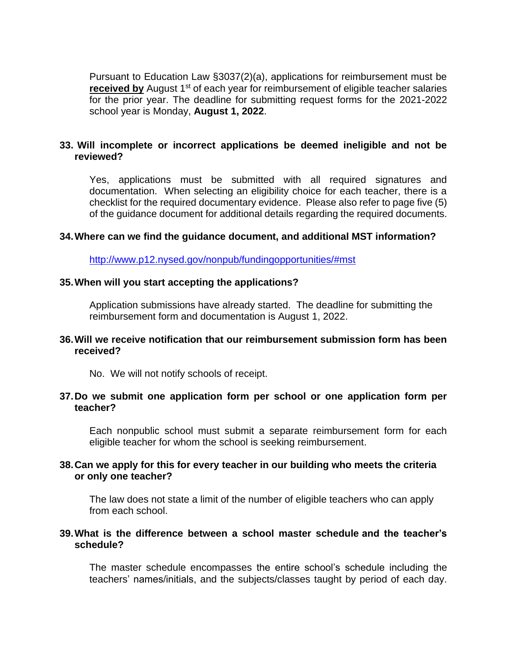Pursuant to Education Law §3037(2)(a), applications for reimbursement must be **received by** August 1<sup>st</sup> of each year for reimbursement of eligible teacher salaries for the prior year. The deadline for submitting request forms for the 2021-2022 school year is Monday, **August 1, 2022**.

# **33. Will incomplete or incorrect applications be deemed ineligible and not be reviewed?**

Yes, applications must be submitted with all required signatures and documentation. When selecting an eligibility choice for each teacher, there is a checklist for the required documentary evidence. Please also refer to page five (5) of the guidance document for additional details regarding the required documents.

### **34.Where can we find the guidance document, and additional MST information?**

<http://www.p12.nysed.gov/nonpub/fundingopportunities/#mst>

### **35.When will you start accepting the applications?**

Application submissions have already started. The deadline for submitting the reimbursement form and documentation is August 1, 2022.

### **36.Will we receive notification that our reimbursement submission form has been received?**

No. We will not notify schools of receipt.

### **37.Do we submit one application form per school or one application form per teacher?**

Each nonpublic school must submit a separate reimbursement form for each eligible teacher for whom the school is seeking reimbursement.

### **38.Can we apply for this for every teacher in our building who meets the criteria or only one teacher?**

The law does not state a limit of the number of eligible teachers who can apply from each school.

### **39.What is the difference between a school master schedule and the teacher's schedule?**

The master schedule encompasses the entire school's schedule including the teachers' names/initials, and the subjects/classes taught by period of each day.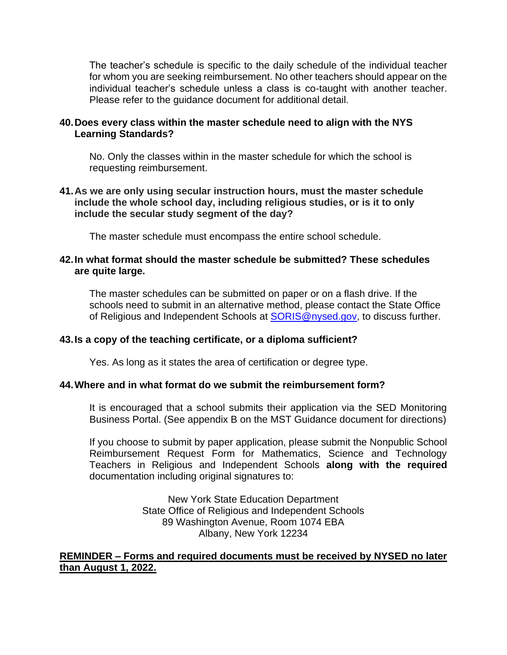The teacher's schedule is specific to the daily schedule of the individual teacher for whom you are seeking reimbursement. No other teachers should appear on the individual teacher's schedule unless a class is co-taught with another teacher. Please refer to the guidance document for additional detail.

# **40.Does every class within the master schedule need to align with the NYS Learning Standards?**

No. Only the classes within in the master schedule for which the school is requesting reimbursement.

**41.As we are only using secular instruction hours, must the master schedule include the whole school day, including religious studies, or is it to only include the secular study segment of the day?** 

The master schedule must encompass the entire school schedule.

# **42.In what format should the master schedule be submitted? These schedules are quite large.**

The master schedules can be submitted on paper or on a flash drive. If the schools need to submit in an alternative method, please contact the State Office of Religious and Independent Schools at [SORIS@nysed.gov,](mailto:SORIS@nysed.gov) to discuss further.

# **43.Is a copy of the teaching certificate, or a diploma sufficient?**

Yes. As long as it states the area of certification or degree type.

# **44.Where and in what format do we submit the reimbursement form?**

It is encouraged that a school submits their application via the SED Monitoring Business Portal. (See appendix B on the MST Guidance document for directions)

If you choose to submit by paper application, please submit the Nonpublic School Reimbursement Request Form for Mathematics, Science and Technology Teachers in Religious and Independent Schools **along with the required** documentation including original signatures to:

> New York State Education Department State Office of Religious and Independent Schools 89 Washington Avenue, Room 1074 EBA Albany, New York 12234

# **REMINDER – Forms and required documents must be received by NYSED no later than August 1, 2022.**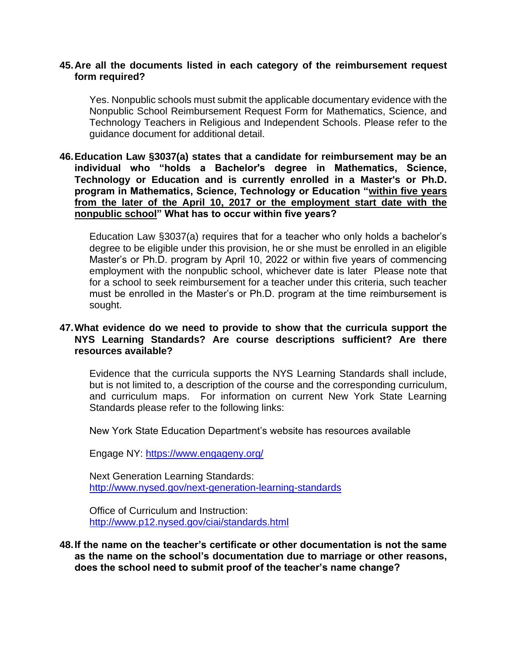### **45.Are all the documents listed in each category of the reimbursement request form required?**

Yes. Nonpublic schools must submit the applicable documentary evidence with the Nonpublic School Reimbursement Request Form for Mathematics, Science, and Technology Teachers in Religious and Independent Schools. Please refer to the guidance document for additional detail.

### **46.Education Law §3037(a) states that a candidate for reimbursement may be an individual who "holds a Bachelor's degree in Mathematics, Science, Technology or Education and is currently enrolled in a Master's or Ph.D. program in Mathematics, Science, Technology or Education "within five years from the later of the April 10, 2017 or the employment start date with the nonpublic school" What has to occur within five years?**

Education Law §3037(a) requires that for a teacher who only holds a bachelor's degree to be eligible under this provision, he or she must be enrolled in an eligible Master's or Ph.D. program by April 10, 2022 or within five years of commencing employment with the nonpublic school, whichever date is later Please note that for a school to seek reimbursement for a teacher under this criteria, such teacher must be enrolled in the Master's or Ph.D. program at the time reimbursement is sought.

## **47.What evidence do we need to provide to show that the curricula support the NYS Learning Standards? Are course descriptions sufficient? Are there resources available?**

Evidence that the curricula supports the NYS Learning Standards shall include, but is not limited to, a description of the course and the corresponding curriculum, and curriculum maps. For information on current New York State Learning Standards please refer to the following links:

New York State Education Department's website has resources available

Engage NY: <https://www.engageny.org/>

Next Generation Learning Standards: <http://www.nysed.gov/next-generation-learning-standards>

Office of Curriculum and Instruction: <http://www.p12.nysed.gov/ciai/standards.html>

**48.If the name on the teacher's certificate or other documentation is not the same as the name on the school's documentation due to marriage or other reasons, does the school need to submit proof of the teacher's name change?**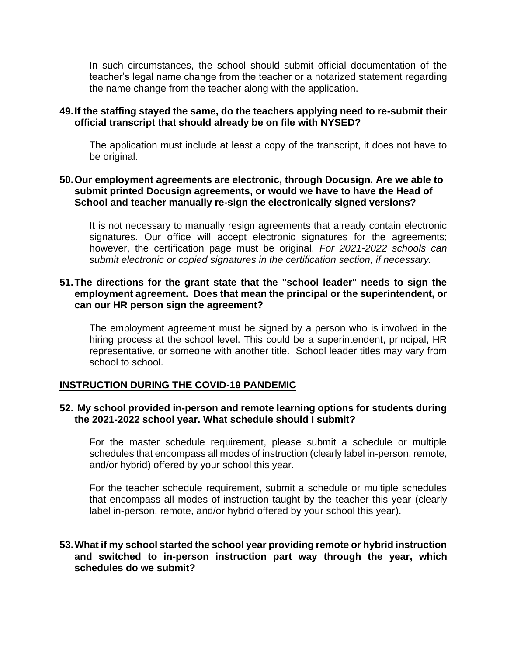In such circumstances, the school should submit official documentation of the teacher's legal name change from the teacher or a notarized statement regarding the name change from the teacher along with the application.

## **49.If the staffing stayed the same, do the teachers applying need to re-submit their official transcript that should already be on file with NYSED?**

The application must include at least a copy of the transcript, it does not have to be original.

# **50.Our employment agreements are electronic, through Docusign. Are we able to submit printed Docusign agreements, or would we have to have the Head of School and teacher manually re-sign the electronically signed versions?**

It is not necessary to manually resign agreements that already contain electronic signatures. Our office will accept electronic signatures for the agreements; however, the certification page must be original. *For 2021-2022 schools can submit electronic or copied signatures in the certification section, if necessary.*

### **51.The directions for the grant state that the "school leader" needs to sign the employment agreement. Does that mean the principal or the superintendent, or can our HR person sign the agreement?**

The employment agreement must be signed by a person who is involved in the hiring process at the school level. This could be a superintendent, principal, HR representative, or someone with another title. School leader titles may vary from school to school.

# **INSTRUCTION DURING THE COVID-19 PANDEMIC**

### **52. My school provided in-person and remote learning options for students during the 2021-2022 school year. What schedule should I submit?**

For the master schedule requirement, please submit a schedule or multiple schedules that encompass all modes of instruction (clearly label in-person, remote, and/or hybrid) offered by your school this year.

For the teacher schedule requirement, submit a schedule or multiple schedules that encompass all modes of instruction taught by the teacher this year (clearly label in-person, remote, and/or hybrid offered by your school this year).

### **53.What if my school started the school year providing remote or hybrid instruction and switched to in-person instruction part way through the year, which schedules do we submit?**